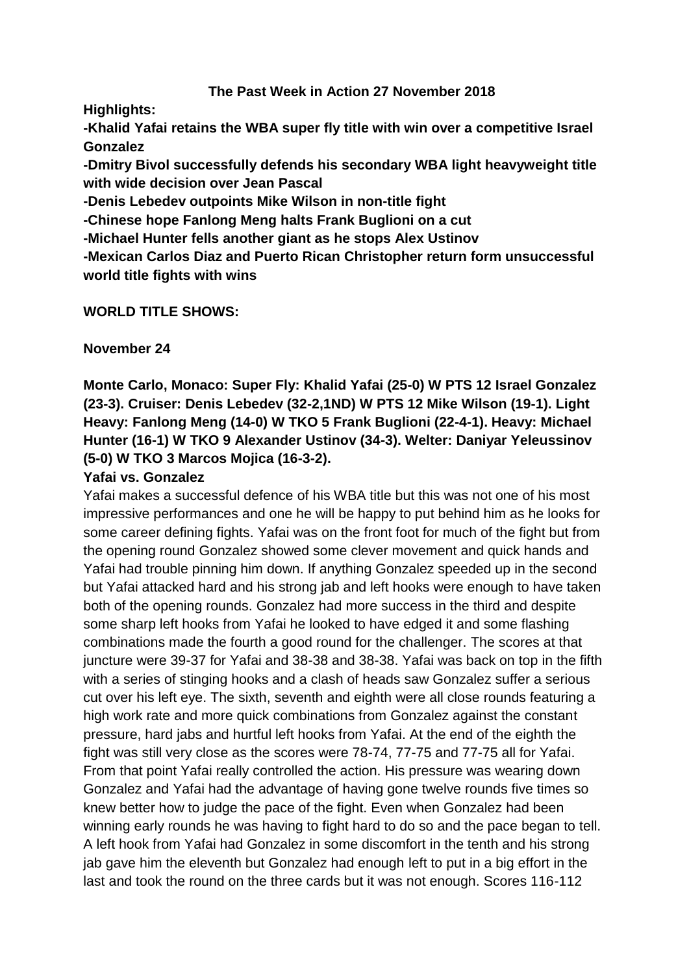#### **The Past Week in Action 27 November 2018**

**Highlights:**

**-Khalid Yafai retains the WBA super fly title with win over a competitive Israel Gonzalez**

**-Dmitry Bivol successfully defends his secondary WBA light heavyweight title with wide decision over Jean Pascal**

**-Denis Lebedev outpoints Mike Wilson in non-title fight**

**-Chinese hope Fanlong Meng halts Frank Buglioni on a cut**

**-Michael Hunter fells another giant as he stops Alex Ustinov**

**-Mexican Carlos Diaz and Puerto Rican Christopher return form unsuccessful world title fights with wins**

### **WORLD TITLE SHOWS:**

**November 24**

**Monte Carlo, Monaco: Super Fly: Khalid Yafai (25-0) W PTS 12 Israel Gonzalez (23-3). Cruiser: Denis Lebedev (32-2,1ND) W PTS 12 Mike Wilson (19-1). Light Heavy: Fanlong Meng (14-0) W TKO 5 Frank Buglioni (22-4-1). Heavy: Michael Hunter (16-1) W TKO 9 Alexander Ustinov (34-3). Welter: Daniyar Yeleussinov (5-0) W TKO 3 Marcos Mojica (16-3-2).**

### **Yafai vs. Gonzalez**

Yafai makes a successful defence of his WBA title but this was not one of his most impressive performances and one he will be happy to put behind him as he looks for some career defining fights. Yafai was on the front foot for much of the fight but from the opening round Gonzalez showed some clever movement and quick hands and Yafai had trouble pinning him down. If anything Gonzalez speeded up in the second but Yafai attacked hard and his strong jab and left hooks were enough to have taken both of the opening rounds. Gonzalez had more success in the third and despite some sharp left hooks from Yafai he looked to have edged it and some flashing combinations made the fourth a good round for the challenger. The scores at that juncture were 39-37 for Yafai and 38-38 and 38-38. Yafai was back on top in the fifth with a series of stinging hooks and a clash of heads saw Gonzalez suffer a serious cut over his left eye. The sixth, seventh and eighth were all close rounds featuring a high work rate and more quick combinations from Gonzalez against the constant pressure, hard jabs and hurtful left hooks from Yafai. At the end of the eighth the fight was still very close as the scores were 78-74, 77-75 and 77-75 all for Yafai. From that point Yafai really controlled the action. His pressure was wearing down Gonzalez and Yafai had the advantage of having gone twelve rounds five times so knew better how to judge the pace of the fight. Even when Gonzalez had been winning early rounds he was having to fight hard to do so and the pace began to tell. A left hook from Yafai had Gonzalez in some discomfort in the tenth and his strong jab gave him the eleventh but Gonzalez had enough left to put in a big effort in the last and took the round on the three cards but it was not enough. Scores 116-112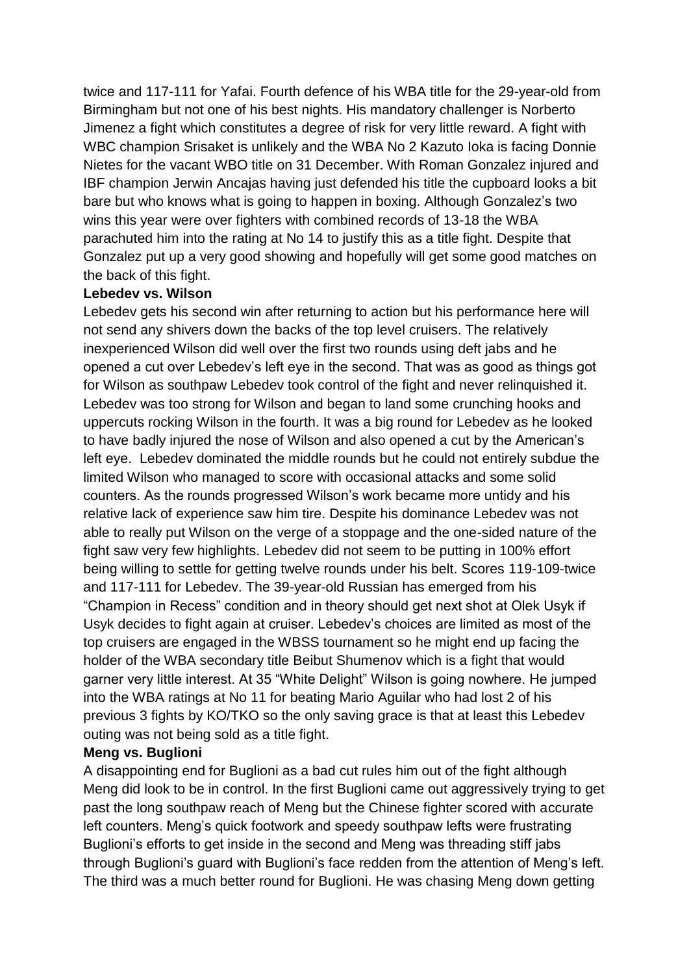twice and 117-111 for Yafai. Fourth defence of his WBA title for the 29-year-old from Birmingham but not one of his best nights. His mandatory challenger is Norberto Jimenez a fight which constitutes a degree of risk for very little reward. A fight with WBC champion Srisaket is unlikely and the WBA No 2 Kazuto Ioka is facing Donnie Nietes for the vacant WBO title on 31 December. With Roman Gonzalez injured and IBF champion Jerwin Ancajas having just defended his title the cupboard looks a bit bare but who knows what is going to happen in boxing. Although Gonzalez's two wins this year were over fighters with combined records of 13-18 the WBA parachuted him into the rating at No 14 to justify this as a title fight. Despite that Gonzalez put up a very good showing and hopefully will get some good matches on the back of this fight.

#### **Lebedev vs. Wilson**

Lebedev gets his second win after returning to action but his performance here will not send any shivers down the backs of the top level cruisers. The relatively inexperienced Wilson did well over the first two rounds using deft jabs and he opened a cut over Lebedev's left eye in the second. That was as good as things got for Wilson as southpaw Lebedev took control of the fight and never relinquished it. Lebedev was too strong for Wilson and began to land some crunching hooks and uppercuts rocking Wilson in the fourth. It was a big round for Lebedev as he looked to have badly injured the nose of Wilson and also opened a cut by the American's left eye. Lebedev dominated the middle rounds but he could not entirely subdue the limited Wilson who managed to score with occasional attacks and some solid counters. As the rounds progressed Wilson's work became more untidy and his relative lack of experience saw him tire. Despite his dominance Lebedev was not able to really put Wilson on the verge of a stoppage and the one-sided nature of the fight saw very few highlights. Lebedev did not seem to be putting in 100% effort being willing to settle for getting twelve rounds under his belt. Scores 119-109-twice and 117-111 for Lebedev. The 39-year-old Russian has emerged from his "Champion in Recess" condition and in theory should get next shot at Olek Usyk if Usyk decides to fight again at cruiser. Lebedev's choices are limited as most of the top cruisers are engaged in the WBSS tournament so he might end up facing the holder of the WBA secondary title Beibut Shumenov which is a fight that would garner very little interest. At 35 "White Delight" Wilson is going nowhere. He jumped into the WBA ratings at No 11 for beating Mario Aguilar who had lost 2 of his previous 3 fights by KO/TKO so the only saving grace is that at least this Lebedev outing was not being sold as a title fight.

#### **Meng vs. Buglioni**

A disappointing end for Buglioni as a bad cut rules him out of the fight although Meng did look to be in control. In the first Buglioni came out aggressively trying to get past the long southpaw reach of Meng but the Chinese fighter scored with accurate left counters. Meng's quick footwork and speedy southpaw lefts were frustrating Buglioni's efforts to get inside in the second and Meng was threading stiff jabs through Buglioni's guard with Buglioni's face redden from the attention of Meng's left. The third was a much better round for Buglioni. He was chasing Meng down getting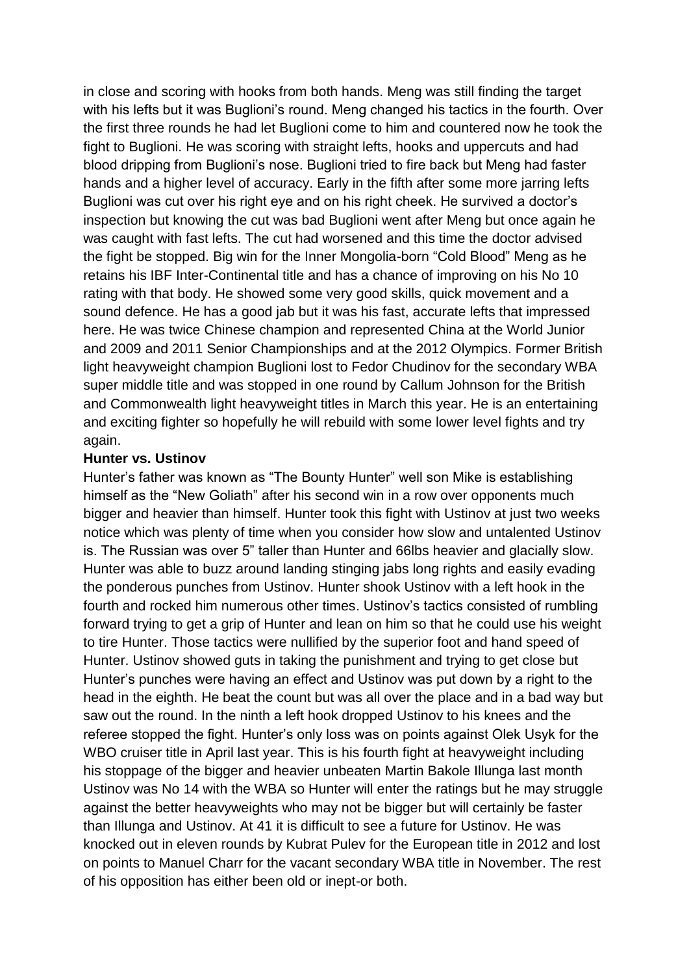in close and scoring with hooks from both hands. Meng was still finding the target with his lefts but it was Buglioni's round. Meng changed his tactics in the fourth. Over the first three rounds he had let Buglioni come to him and countered now he took the fight to Buglioni. He was scoring with straight lefts, hooks and uppercuts and had blood dripping from Buglioni's nose. Buglioni tried to fire back but Meng had faster hands and a higher level of accuracy. Early in the fifth after some more jarring lefts Buglioni was cut over his right eye and on his right cheek. He survived a doctor's inspection but knowing the cut was bad Buglioni went after Meng but once again he was caught with fast lefts. The cut had worsened and this time the doctor advised the fight be stopped. Big win for the Inner Mongolia-born "Cold Blood" Meng as he retains his IBF Inter-Continental title and has a chance of improving on his No 10 rating with that body. He showed some very good skills, quick movement and a sound defence. He has a good jab but it was his fast, accurate lefts that impressed here. He was twice Chinese champion and represented China at the World Junior and 2009 and 2011 Senior Championships and at the 2012 Olympics. Former British light heavyweight champion Buglioni lost to Fedor Chudinov for the secondary WBA super middle title and was stopped in one round by Callum Johnson for the British and Commonwealth light heavyweight titles in March this year. He is an entertaining and exciting fighter so hopefully he will rebuild with some lower level fights and try again.

#### **Hunter vs. Ustinov**

Hunter's father was known as "The Bounty Hunter" well son Mike is establishing himself as the "New Goliath" after his second win in a row over opponents much bigger and heavier than himself. Hunter took this fight with Ustinov at just two weeks notice which was plenty of time when you consider how slow and untalented Ustinov is. The Russian was over 5" taller than Hunter and 66lbs heavier and glacially slow. Hunter was able to buzz around landing stinging jabs long rights and easily evading the ponderous punches from Ustinov. Hunter shook Ustinov with a left hook in the fourth and rocked him numerous other times. Ustinov's tactics consisted of rumbling forward trying to get a grip of Hunter and lean on him so that he could use his weight to tire Hunter. Those tactics were nullified by the superior foot and hand speed of Hunter. Ustinov showed guts in taking the punishment and trying to get close but Hunter's punches were having an effect and Ustinov was put down by a right to the head in the eighth. He beat the count but was all over the place and in a bad way but saw out the round. In the ninth a left hook dropped Ustinov to his knees and the referee stopped the fight. Hunter's only loss was on points against Olek Usyk for the WBO cruiser title in April last year. This is his fourth fight at heavyweight including his stoppage of the bigger and heavier unbeaten Martin Bakole Illunga last month Ustinov was No 14 with the WBA so Hunter will enter the ratings but he may struggle against the better heavyweights who may not be bigger but will certainly be faster than Illunga and Ustinov. At 41 it is difficult to see a future for Ustinov. He was knocked out in eleven rounds by Kubrat Pulev for the European title in 2012 and lost on points to Manuel Charr for the vacant secondary WBA title in November. The rest of his opposition has either been old or inept-or both.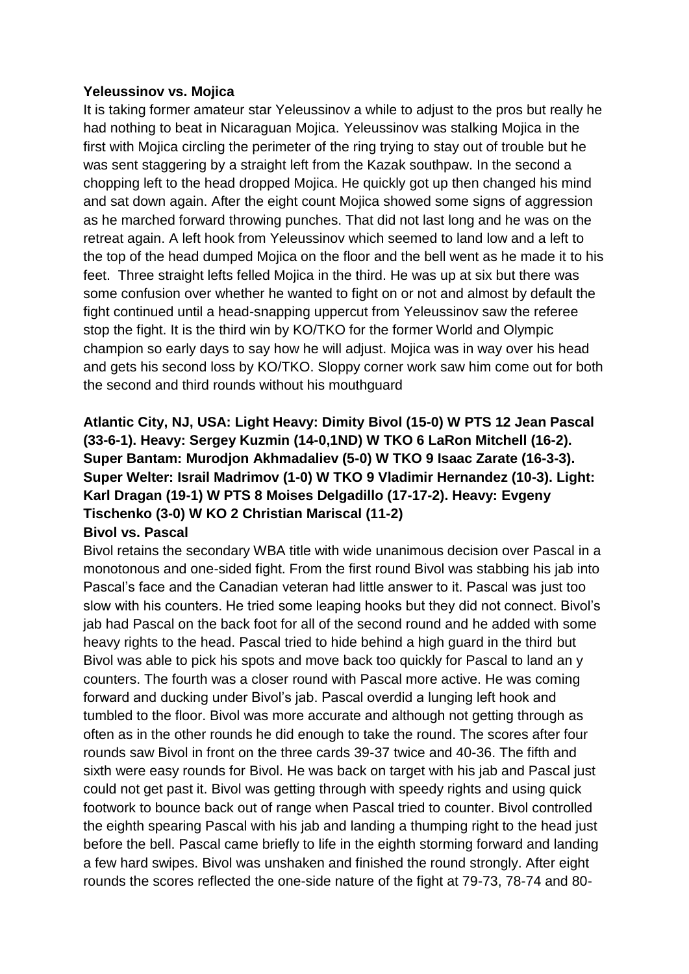#### **Yeleussinov vs. Mojica**

It is taking former amateur star Yeleussinov a while to adjust to the pros but really he had nothing to beat in Nicaraguan Mojica. Yeleussinov was stalking Mojica in the first with Mojica circling the perimeter of the ring trying to stay out of trouble but he was sent staggering by a straight left from the Kazak southpaw. In the second a chopping left to the head dropped Mojica. He quickly got up then changed his mind and sat down again. After the eight count Mojica showed some signs of aggression as he marched forward throwing punches. That did not last long and he was on the retreat again. A left hook from Yeleussinov which seemed to land low and a left to the top of the head dumped Mojica on the floor and the bell went as he made it to his feet. Three straight lefts felled Mojica in the third. He was up at six but there was some confusion over whether he wanted to fight on or not and almost by default the fight continued until a head-snapping uppercut from Yeleussinov saw the referee stop the fight. It is the third win by KO/TKO for the former World and Olympic champion so early days to say how he will adjust. Mojica was in way over his head and gets his second loss by KO/TKO. Sloppy corner work saw him come out for both the second and third rounds without his mouthguard

### **Atlantic City, NJ, USA: Light Heavy: Dimity Bivol (15-0) W PTS 12 Jean Pascal (33-6-1). Heavy: Sergey Kuzmin (14-0,1ND) W TKO 6 LaRon Mitchell (16-2). Super Bantam: Murodjon Akhmadaliev (5-0) W TKO 9 Isaac Zarate (16-3-3). Super Welter: Israil Madrimov (1-0) W TKO 9 Vladimir Hernandez (10-3). Light: Karl Dragan (19-1) W PTS 8 Moises Delgadillo (17-17-2). Heavy: Evgeny Tischenko (3-0) W KO 2 Christian Mariscal (11-2) Bivol vs. Pascal**

Bivol retains the secondary WBA title with wide unanimous decision over Pascal in a monotonous and one-sided fight. From the first round Bivol was stabbing his jab into Pascal's face and the Canadian veteran had little answer to it. Pascal was just too slow with his counters. He tried some leaping hooks but they did not connect. Bivol's jab had Pascal on the back foot for all of the second round and he added with some heavy rights to the head. Pascal tried to hide behind a high guard in the third but Bivol was able to pick his spots and move back too quickly for Pascal to land an y counters. The fourth was a closer round with Pascal more active. He was coming forward and ducking under Bivol's jab. Pascal overdid a lunging left hook and tumbled to the floor. Bivol was more accurate and although not getting through as often as in the other rounds he did enough to take the round. The scores after four rounds saw Bivol in front on the three cards 39-37 twice and 40-36. The fifth and sixth were easy rounds for Bivol. He was back on target with his jab and Pascal just could not get past it. Bivol was getting through with speedy rights and using quick footwork to bounce back out of range when Pascal tried to counter. Bivol controlled the eighth spearing Pascal with his jab and landing a thumping right to the head just before the bell. Pascal came briefly to life in the eighth storming forward and landing a few hard swipes. Bivol was unshaken and finished the round strongly. After eight rounds the scores reflected the one-side nature of the fight at 79-73, 78-74 and 80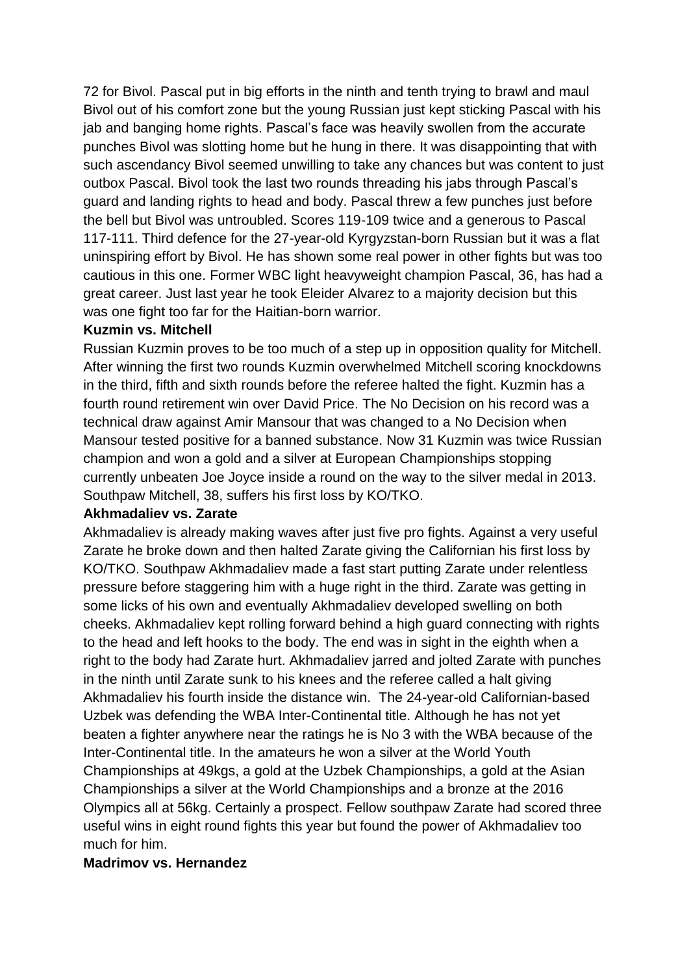72 for Bivol. Pascal put in big efforts in the ninth and tenth trying to brawl and maul Bivol out of his comfort zone but the young Russian just kept sticking Pascal with his jab and banging home rights. Pascal's face was heavily swollen from the accurate punches Bivol was slotting home but he hung in there. It was disappointing that with such ascendancy Bivol seemed unwilling to take any chances but was content to just outbox Pascal. Bivol took the last two rounds threading his jabs through Pascal's guard and landing rights to head and body. Pascal threw a few punches just before the bell but Bivol was untroubled. Scores 119-109 twice and a generous to Pascal 117-111. Third defence for the 27-year-old Kyrgyzstan-born Russian but it was a flat uninspiring effort by Bivol. He has shown some real power in other fights but was too cautious in this one. Former WBC light heavyweight champion Pascal, 36, has had a great career. Just last year he took Eleider Alvarez to a majority decision but this was one fight too far for the Haitian-born warrior.

#### **Kuzmin vs. Mitchell**

Russian Kuzmin proves to be too much of a step up in opposition quality for Mitchell. After winning the first two rounds Kuzmin overwhelmed Mitchell scoring knockdowns in the third, fifth and sixth rounds before the referee halted the fight. Kuzmin has a fourth round retirement win over David Price. The No Decision on his record was a technical draw against Amir Mansour that was changed to a No Decision when Mansour tested positive for a banned substance. Now 31 Kuzmin was twice Russian champion and won a gold and a silver at European Championships stopping currently unbeaten Joe Joyce inside a round on the way to the silver medal in 2013. Southpaw Mitchell, 38, suffers his first loss by KO/TKO.

#### **Akhmadaliev vs. Zarate**

Akhmadaliev is already making waves after just five pro fights. Against a very useful Zarate he broke down and then halted Zarate giving the Californian his first loss by KO/TKO. Southpaw Akhmadaliev made a fast start putting Zarate under relentless pressure before staggering him with a huge right in the third. Zarate was getting in some licks of his own and eventually Akhmadaliev developed swelling on both cheeks. Akhmadaliev kept rolling forward behind a high guard connecting with rights to the head and left hooks to the body. The end was in sight in the eighth when a right to the body had Zarate hurt. Akhmadaliev jarred and jolted Zarate with punches in the ninth until Zarate sunk to his knees and the referee called a halt giving Akhmadaliev his fourth inside the distance win. The 24-year-old Californian-based Uzbek was defending the WBA Inter-Continental title. Although he has not yet beaten a fighter anywhere near the ratings he is No 3 with the WBA because of the Inter-Continental title. In the amateurs he won a silver at the World Youth Championships at 49kgs, a gold at the Uzbek Championships, a gold at the Asian Championships a silver at the World Championships and a bronze at the 2016 Olympics all at 56kg. Certainly a prospect. Fellow southpaw Zarate had scored three useful wins in eight round fights this year but found the power of Akhmadaliev too much for him.

#### **Madrimov vs. Hernandez**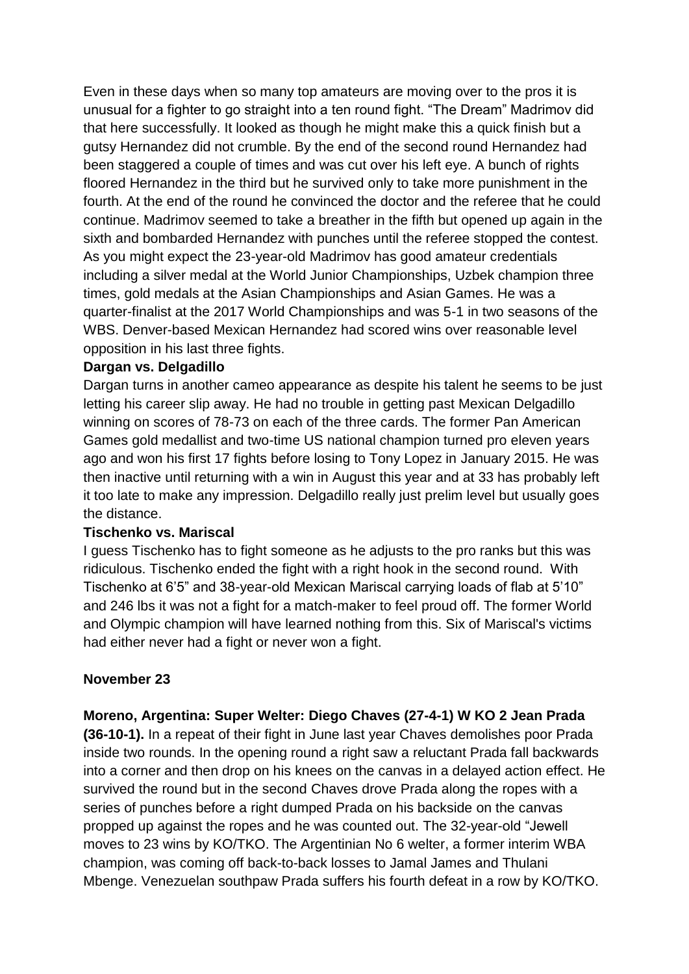Even in these days when so many top amateurs are moving over to the pros it is unusual for a fighter to go straight into a ten round fight. "The Dream" Madrimov did that here successfully. It looked as though he might make this a quick finish but a gutsy Hernandez did not crumble. By the end of the second round Hernandez had been staggered a couple of times and was cut over his left eye. A bunch of rights floored Hernandez in the third but he survived only to take more punishment in the fourth. At the end of the round he convinced the doctor and the referee that he could continue. Madrimov seemed to take a breather in the fifth but opened up again in the sixth and bombarded Hernandez with punches until the referee stopped the contest. As you might expect the 23-year-old Madrimov has good amateur credentials including a silver medal at the World Junior Championships, Uzbek champion three times, gold medals at the Asian Championships and Asian Games. He was a quarter-finalist at the 2017 World Championships and was 5-1 in two seasons of the WBS. Denver-based Mexican Hernandez had scored wins over reasonable level opposition in his last three fights.

#### **Dargan vs. Delgadillo**

Dargan turns in another cameo appearance as despite his talent he seems to be just letting his career slip away. He had no trouble in getting past Mexican Delgadillo winning on scores of 78-73 on each of the three cards. The former Pan American Games gold medallist and two-time US national champion turned pro eleven years ago and won his first 17 fights before losing to Tony Lopez in January 2015. He was then inactive until returning with a win in August this year and at 33 has probably left it too late to make any impression. Delgadillo really just prelim level but usually goes the distance.

#### **Tischenko vs. Mariscal**

I guess Tischenko has to fight someone as he adjusts to the pro ranks but this was ridiculous. Tischenko ended the fight with a right hook in the second round. With Tischenko at 6'5" and 38-year-old Mexican Mariscal carrying loads of flab at 5'10" and 246 lbs it was not a fight for a match-maker to feel proud off. The former World and Olympic champion will have learned nothing from this. Six of Mariscal's victims had either never had a fight or never won a fight.

#### **November 23**

**Moreno, Argentina: Super Welter: Diego Chaves (27-4-1) W KO 2 Jean Prada** 

**(36-10-1).** In a repeat of their fight in June last year Chaves demolishes poor Prada inside two rounds. In the opening round a right saw a reluctant Prada fall backwards into a corner and then drop on his knees on the canvas in a delayed action effect. He survived the round but in the second Chaves drove Prada along the ropes with a series of punches before a right dumped Prada on his backside on the canvas propped up against the ropes and he was counted out. The 32-year-old "Jewell moves to 23 wins by KO/TKO. The Argentinian No 6 welter, a former interim WBA champion, was coming off back-to-back losses to Jamal James and Thulani Mbenge. Venezuelan southpaw Prada suffers his fourth defeat in a row by KO/TKO.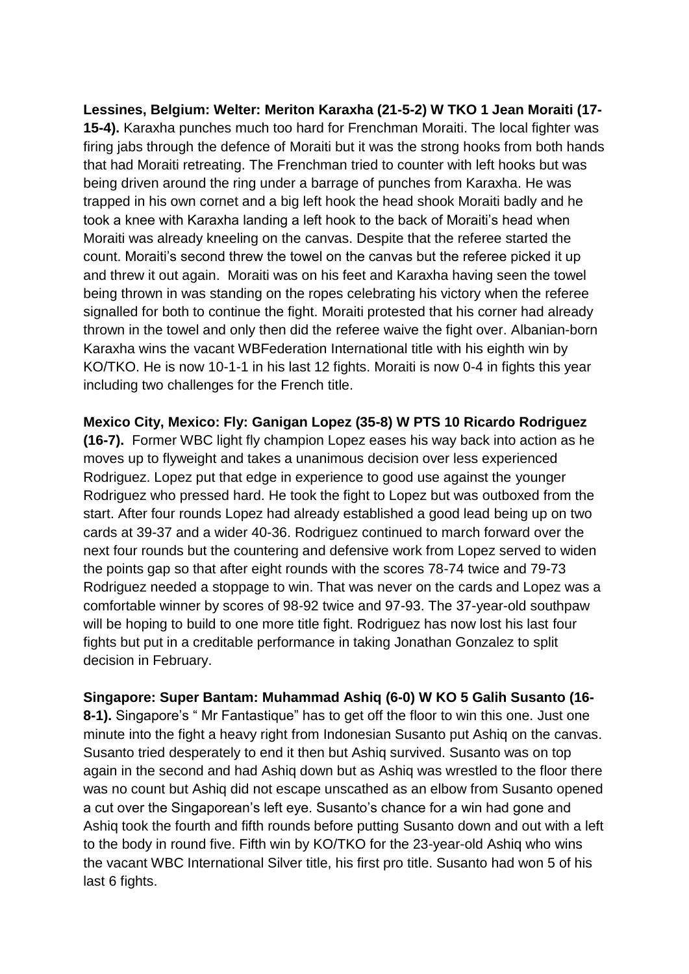**Lessines, Belgium: Welter: Meriton Karaxha (21-5-2) W TKO 1 Jean Moraiti (17- 15-4).** Karaxha punches much too hard for Frenchman Moraiti. The local fighter was firing jabs through the defence of Moraiti but it was the strong hooks from both hands that had Moraiti retreating. The Frenchman tried to counter with left hooks but was being driven around the ring under a barrage of punches from Karaxha. He was trapped in his own cornet and a big left hook the head shook Moraiti badly and he took a knee with Karaxha landing a left hook to the back of Moraiti's head when Moraiti was already kneeling on the canvas. Despite that the referee started the count. Moraiti's second threw the towel on the canvas but the referee picked it up and threw it out again. Moraiti was on his feet and Karaxha having seen the towel being thrown in was standing on the ropes celebrating his victory when the referee signalled for both to continue the fight. Moraiti protested that his corner had already thrown in the towel and only then did the referee waive the fight over. Albanian-born Karaxha wins the vacant WBFederation International title with his eighth win by KO/TKO. He is now 10-1-1 in his last 12 fights. Moraiti is now 0-4 in fights this year including two challenges for the French title.

**Mexico City, Mexico: Fly: Ganigan Lopez (35-8) W PTS 10 Ricardo Rodriguez (16-7).** Former WBC light fly champion Lopez eases his way back into action as he moves up to flyweight and takes a unanimous decision over less experienced Rodriguez. Lopez put that edge in experience to good use against the younger Rodriguez who pressed hard. He took the fight to Lopez but was outboxed from the start. After four rounds Lopez had already established a good lead being up on two cards at 39-37 and a wider 40-36. Rodriguez continued to march forward over the next four rounds but the countering and defensive work from Lopez served to widen the points gap so that after eight rounds with the scores 78-74 twice and 79-73 Rodriguez needed a stoppage to win. That was never on the cards and Lopez was a comfortable winner by scores of 98-92 twice and 97-93. The 37-year-old southpaw will be hoping to build to one more title fight. Rodriguez has now lost his last four fights but put in a creditable performance in taking Jonathan Gonzalez to split decision in February.

**Singapore: Super Bantam: Muhammad Ashiq (6-0) W KO 5 Galih Susanto (16- 8-1).** Singapore's " Mr Fantastique" has to get off the floor to win this one. Just one minute into the fight a heavy right from Indonesian Susanto put Ashiq on the canvas. Susanto tried desperately to end it then but Ashiq survived. Susanto was on top again in the second and had Ashiq down but as Ashiq was wrestled to the floor there was no count but Ashiq did not escape unscathed as an elbow from Susanto opened a cut over the Singaporean's left eye. Susanto's chance for a win had gone and Ashiq took the fourth and fifth rounds before putting Susanto down and out with a left to the body in round five. Fifth win by KO/TKO for the 23-year-old Ashiq who wins the vacant WBC International Silver title, his first pro title. Susanto had won 5 of his last 6 fights.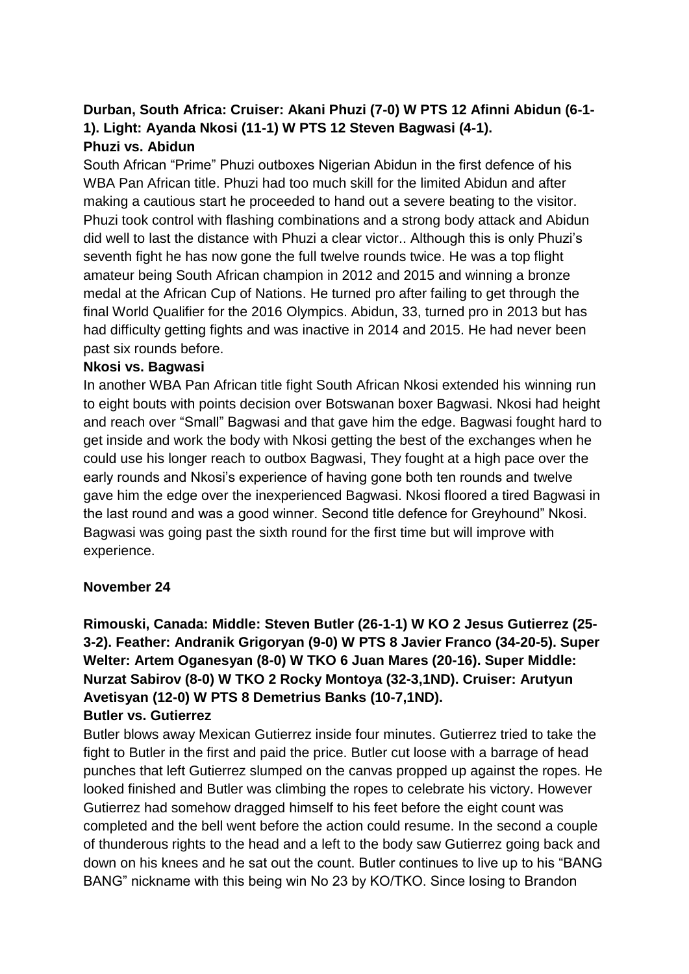### **Durban, South Africa: Cruiser: Akani Phuzi (7-0) W PTS 12 Afinni Abidun (6-1- 1). Light: Ayanda Nkosi (11-1) W PTS 12 Steven Bagwasi (4-1). Phuzi vs. Abidun**

South African "Prime" Phuzi outboxes Nigerian Abidun in the first defence of his WBA Pan African title. Phuzi had too much skill for the limited Abidun and after making a cautious start he proceeded to hand out a severe beating to the visitor. Phuzi took control with flashing combinations and a strong body attack and Abidun did well to last the distance with Phuzi a clear victor.. Although this is only Phuzi's seventh fight he has now gone the full twelve rounds twice. He was a top flight amateur being South African champion in 2012 and 2015 and winning a bronze medal at the African Cup of Nations. He turned pro after failing to get through the final World Qualifier for the 2016 Olympics. Abidun, 33, turned pro in 2013 but has had difficulty getting fights and was inactive in 2014 and 2015. He had never been past six rounds before.

#### **Nkosi vs. Bagwasi**

In another WBA Pan African title fight South African Nkosi extended his winning run to eight bouts with points decision over Botswanan boxer Bagwasi. Nkosi had height and reach over "Small" Bagwasi and that gave him the edge. Bagwasi fought hard to get inside and work the body with Nkosi getting the best of the exchanges when he could use his longer reach to outbox Bagwasi, They fought at a high pace over the early rounds and Nkosi's experience of having gone both ten rounds and twelve gave him the edge over the inexperienced Bagwasi. Nkosi floored a tired Bagwasi in the last round and was a good winner. Second title defence for Greyhound" Nkosi. Bagwasi was going past the sixth round for the first time but will improve with experience.

#### **November 24**

**Rimouski, Canada: Middle: Steven Butler (26-1-1) W KO 2 Jesus Gutierrez (25- 3-2). Feather: Andranik Grigoryan (9-0) W PTS 8 Javier Franco (34-20-5). Super Welter: Artem Oganesyan (8-0) W TKO 6 Juan Mares (20-16). Super Middle: Nurzat Sabirov (8-0) W TKO 2 Rocky Montoya (32-3,1ND). Cruiser: Arutyun Avetisyan (12-0) W PTS 8 Demetrius Banks (10-7,1ND).**

#### **Butler vs. Gutierrez**

Butler blows away Mexican Gutierrez inside four minutes. Gutierrez tried to take the fight to Butler in the first and paid the price. Butler cut loose with a barrage of head punches that left Gutierrez slumped on the canvas propped up against the ropes. He looked finished and Butler was climbing the ropes to celebrate his victory. However Gutierrez had somehow dragged himself to his feet before the eight count was completed and the bell went before the action could resume. In the second a couple of thunderous rights to the head and a left to the body saw Gutierrez going back and down on his knees and he sat out the count. Butler continues to live up to his "BANG BANG" nickname with this being win No 23 by KO/TKO. Since losing to Brandon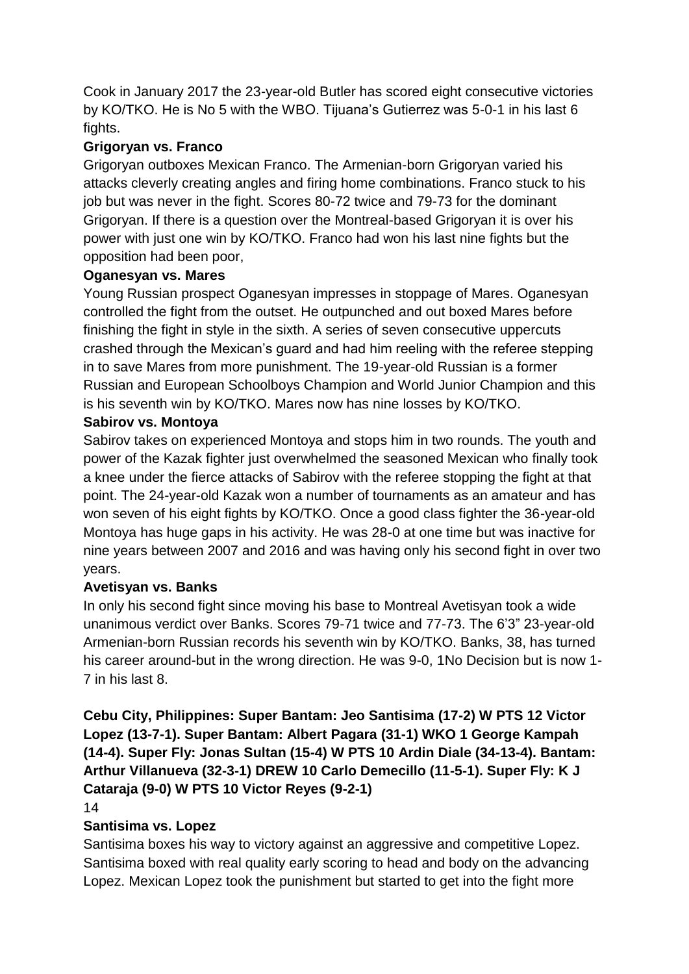Cook in January 2017 the 23-year-old Butler has scored eight consecutive victories by KO/TKO. He is No 5 with the WBO. Tijuana's Gutierrez was 5-0-1 in his last 6 fights.

## **Grigoryan vs. Franco**

Grigoryan outboxes Mexican Franco. The Armenian-born Grigoryan varied his attacks cleverly creating angles and firing home combinations. Franco stuck to his job but was never in the fight. Scores 80-72 twice and 79-73 for the dominant Grigoryan. If there is a question over the Montreal-based Grigoryan it is over his power with just one win by KO/TKO. Franco had won his last nine fights but the opposition had been poor,

## **Oganesyan vs. Mares**

Young Russian prospect Oganesyan impresses in stoppage of Mares. Oganesyan controlled the fight from the outset. He outpunched and out boxed Mares before finishing the fight in style in the sixth. A series of seven consecutive uppercuts crashed through the Mexican's guard and had him reeling with the referee stepping in to save Mares from more punishment. The 19-year-old Russian is a former Russian and European Schoolboys Champion and World Junior Champion and this is his seventh win by KO/TKO. Mares now has nine losses by KO/TKO.

### **Sabirov vs. Montoya**

Sabirov takes on experienced Montoya and stops him in two rounds. The youth and power of the Kazak fighter just overwhelmed the seasoned Mexican who finally took a knee under the fierce attacks of Sabirov with the referee stopping the fight at that point. The 24-year-old Kazak won a number of tournaments as an amateur and has won seven of his eight fights by KO/TKO. Once a good class fighter the 36-year-old Montoya has huge gaps in his activity. He was 28-0 at one time but was inactive for nine years between 2007 and 2016 and was having only his second fight in over two years.

## **Avetisyan vs. Banks**

In only his second fight since moving his base to Montreal Avetisyan took a wide unanimous verdict over Banks. Scores 79-71 twice and 77-73. The 6'3" 23-year-old Armenian-born Russian records his seventh win by KO/TKO. Banks, 38, has turned his career around-but in the wrong direction. He was 9-0, 1No Decision but is now 1- 7 in his last 8.

## **Cebu City, Philippines: Super Bantam: Jeo Santisima (17-2) W PTS 12 Victor Lopez (13-7-1). Super Bantam: Albert Pagara (31-1) WKO 1 George Kampah (14-4). Super Fly: Jonas Sultan (15-4) W PTS 10 Ardin Diale (34-13-4). Bantam: Arthur Villanueva (32-3-1) DREW 10 Carlo Demecillo (11-5-1). Super Fly: K J Cataraja (9-0) W PTS 10 Victor Reyes (9-2-1)**

#### 14

#### **Santisima vs. Lopez**

Santisima boxes his way to victory against an aggressive and competitive Lopez. Santisima boxed with real quality early scoring to head and body on the advancing Lopez. Mexican Lopez took the punishment but started to get into the fight more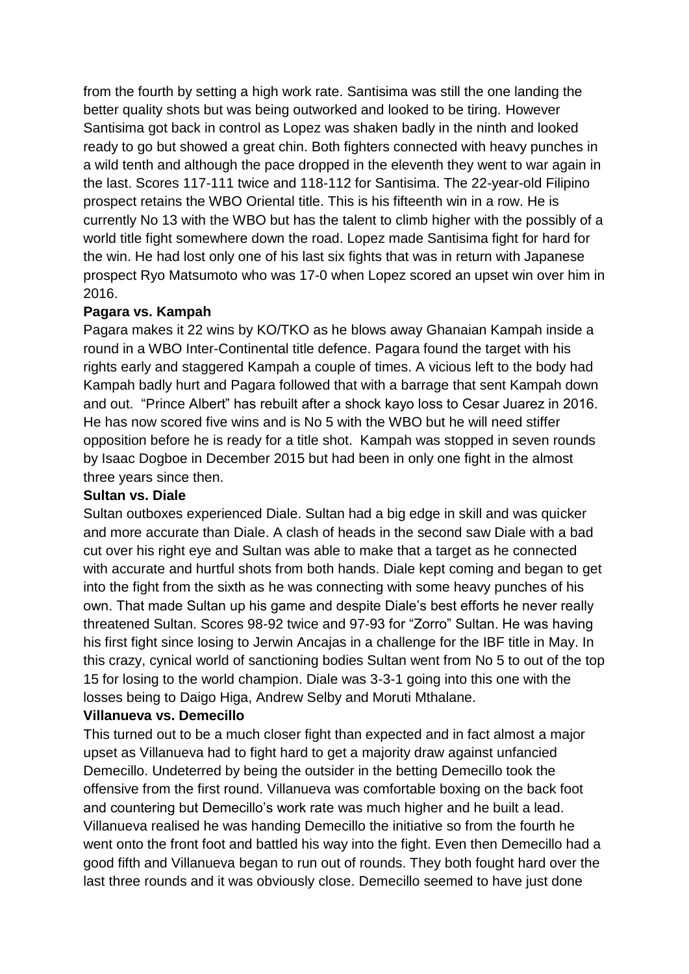from the fourth by setting a high work rate. Santisima was still the one landing the better quality shots but was being outworked and looked to be tiring. However Santisima got back in control as Lopez was shaken badly in the ninth and looked ready to go but showed a great chin. Both fighters connected with heavy punches in a wild tenth and although the pace dropped in the eleventh they went to war again in the last. Scores 117-111 twice and 118-112 for Santisima. The 22-year-old Filipino prospect retains the WBO Oriental title. This is his fifteenth win in a row. He is currently No 13 with the WBO but has the talent to climb higher with the possibly of a world title fight somewhere down the road. Lopez made Santisima fight for hard for the win. He had lost only one of his last six fights that was in return with Japanese prospect Ryo Matsumoto who was 17-0 when Lopez scored an upset win over him in 2016.

#### **Pagara vs. Kampah**

Pagara makes it 22 wins by KO/TKO as he blows away Ghanaian Kampah inside a round in a WBO Inter-Continental title defence. Pagara found the target with his rights early and staggered Kampah a couple of times. A vicious left to the body had Kampah badly hurt and Pagara followed that with a barrage that sent Kampah down and out. "Prince Albert" has rebuilt after a shock kayo loss to Cesar Juarez in 2016. He has now scored five wins and is No 5 with the WBO but he will need stiffer opposition before he is ready for a title shot. Kampah was stopped in seven rounds by Isaac Dogboe in December 2015 but had been in only one fight in the almost three years since then.

#### **Sultan vs. Diale**

Sultan outboxes experienced Diale. Sultan had a big edge in skill and was quicker and more accurate than Diale. A clash of heads in the second saw Diale with a bad cut over his right eye and Sultan was able to make that a target as he connected with accurate and hurtful shots from both hands. Diale kept coming and began to get into the fight from the sixth as he was connecting with some heavy punches of his own. That made Sultan up his game and despite Diale's best efforts he never really threatened Sultan. Scores 98-92 twice and 97-93 for "Zorro" Sultan. He was having his first fight since losing to Jerwin Ancajas in a challenge for the IBF title in May. In this crazy, cynical world of sanctioning bodies Sultan went from No 5 to out of the top 15 for losing to the world champion. Diale was 3-3-1 going into this one with the losses being to Daigo Higa, Andrew Selby and Moruti Mthalane.

#### **Villanueva vs. Demecillo**

This turned out to be a much closer fight than expected and in fact almost a major upset as Villanueva had to fight hard to get a majority draw against unfancied Demecillo. Undeterred by being the outsider in the betting Demecillo took the offensive from the first round. Villanueva was comfortable boxing on the back foot and countering but Demecillo's work rate was much higher and he built a lead. Villanueva realised he was handing Demecillo the initiative so from the fourth he went onto the front foot and battled his way into the fight. Even then Demecillo had a good fifth and Villanueva began to run out of rounds. They both fought hard over the last three rounds and it was obviously close. Demecillo seemed to have just done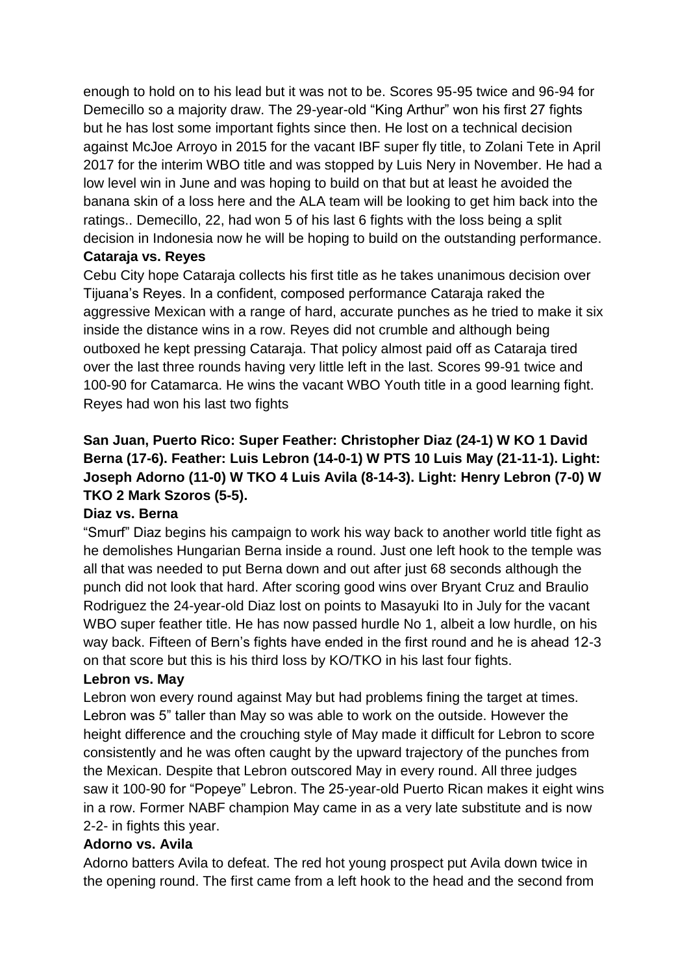enough to hold on to his lead but it was not to be. Scores 95-95 twice and 96-94 for Demecillo so a majority draw. The 29-year-old "King Arthur" won his first 27 fights but he has lost some important fights since then. He lost on a technical decision against McJoe Arroyo in 2015 for the vacant IBF super fly title, to Zolani Tete in April 2017 for the interim WBO title and was stopped by Luis Nery in November. He had a low level win in June and was hoping to build on that but at least he avoided the banana skin of a loss here and the ALA team will be looking to get him back into the ratings.. Demecillo, 22, had won 5 of his last 6 fights with the loss being a split decision in Indonesia now he will be hoping to build on the outstanding performance.

#### **Cataraja vs. Reyes**

Cebu City hope Cataraja collects his first title as he takes unanimous decision over Tijuana's Reyes. In a confident, composed performance Cataraja raked the aggressive Mexican with a range of hard, accurate punches as he tried to make it six inside the distance wins in a row. Reyes did not crumble and although being outboxed he kept pressing Cataraja. That policy almost paid off as Cataraja tired over the last three rounds having very little left in the last. Scores 99-91 twice and 100-90 for Catamarca. He wins the vacant WBO Youth title in a good learning fight. Reyes had won his last two fights

## **San Juan, Puerto Rico: Super Feather: Christopher Diaz (24-1) W KO 1 David Berna (17-6). Feather: Luis Lebron (14-0-1) W PTS 10 Luis May (21-11-1). Light: Joseph Adorno (11-0) W TKO 4 Luis Avila (8-14-3). Light: Henry Lebron (7-0) W TKO 2 Mark Szoros (5-5).**

#### **Diaz vs. Berna**

"Smurf" Diaz begins his campaign to work his way back to another world title fight as he demolishes Hungarian Berna inside a round. Just one left hook to the temple was all that was needed to put Berna down and out after just 68 seconds although the punch did not look that hard. After scoring good wins over Bryant Cruz and Braulio Rodriguez the 24-year-old Diaz lost on points to Masayuki Ito in July for the vacant WBO super feather title. He has now passed hurdle No 1, albeit a low hurdle, on his way back. Fifteen of Bern's fights have ended in the first round and he is ahead 12-3 on that score but this is his third loss by KO/TKO in his last four fights.

#### **Lebron vs. May**

Lebron won every round against May but had problems fining the target at times. Lebron was 5" taller than May so was able to work on the outside. However the height difference and the crouching style of May made it difficult for Lebron to score consistently and he was often caught by the upward trajectory of the punches from the Mexican. Despite that Lebron outscored May in every round. All three judges saw it 100-90 for "Popeye" Lebron. The 25-year-old Puerto Rican makes it eight wins in a row. Former NABF champion May came in as a very late substitute and is now 2-2- in fights this year.

#### **Adorno vs. Avila**

Adorno batters Avila to defeat. The red hot young prospect put Avila down twice in the opening round. The first came from a left hook to the head and the second from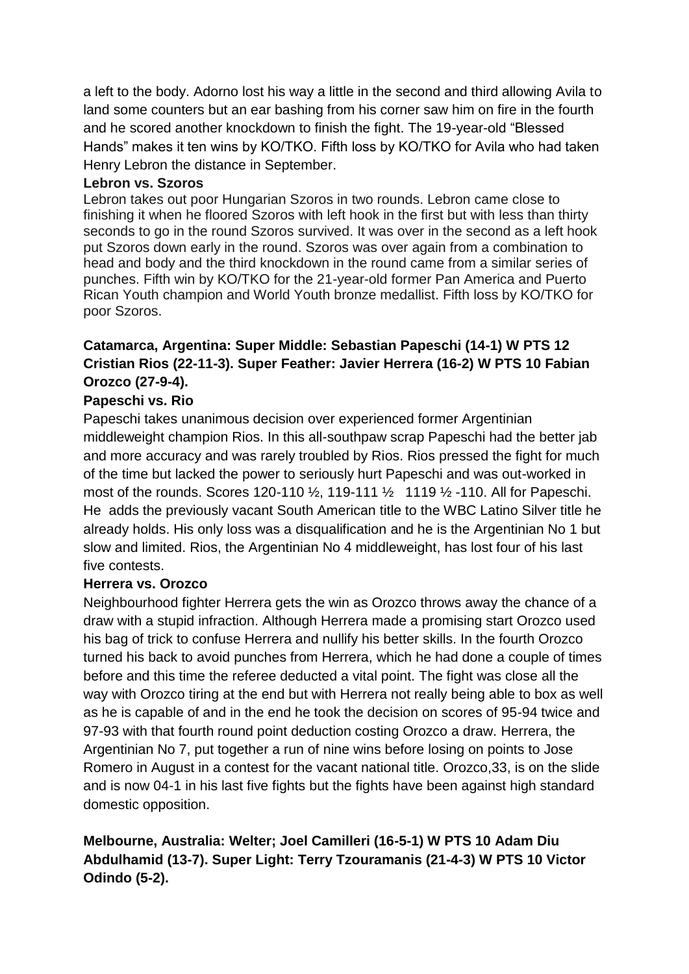a left to the body. Adorno lost his way a little in the second and third allowing Avila to land some counters but an ear bashing from his corner saw him on fire in the fourth and he scored another knockdown to finish the fight. The 19-year-old "Blessed Hands" makes it ten wins by KO/TKO. Fifth loss by KO/TKO for Avila who had taken Henry Lebron the distance in September.

#### **Lebron vs. Szoros**

Lebron takes out poor Hungarian Szoros in two rounds. Lebron came close to finishing it when he floored Szoros with left hook in the first but with less than thirty seconds to go in the round Szoros survived. It was over in the second as a left hook put Szoros down early in the round. Szoros was over again from a combination to head and body and the third knockdown in the round came from a similar series of punches. Fifth win by KO/TKO for the 21-year-old former Pan America and Puerto Rican Youth champion and World Youth bronze medallist. Fifth loss by KO/TKO for poor Szoros.

## **Catamarca, Argentina: Super Middle: Sebastian Papeschi (14-1) W PTS 12 Cristian Rios (22-11-3). Super Feather: Javier Herrera (16-2) W PTS 10 Fabian Orozco (27-9-4).**

### **Papeschi vs. Rio**

Papeschi takes unanimous decision over experienced former Argentinian middleweight champion Rios. In this all-southpaw scrap Papeschi had the better jab and more accuracy and was rarely troubled by Rios. Rios pressed the fight for much of the time but lacked the power to seriously hurt Papeschi and was out-worked in most of the rounds. Scores 120-110 ½, 119-111 ½ 1119 ½ -110. All for Papeschi. He adds the previously vacant South American title to the WBC Latino Silver title he already holds. His only loss was a disqualification and he is the Argentinian No 1 but slow and limited. Rios, the Argentinian No 4 middleweight, has lost four of his last five contests.

#### **Herrera vs. Orozco**

Neighbourhood fighter Herrera gets the win as Orozco throws away the chance of a draw with a stupid infraction. Although Herrera made a promising start Orozco used his bag of trick to confuse Herrera and nullify his better skills. In the fourth Orozco turned his back to avoid punches from Herrera, which he had done a couple of times before and this time the referee deducted a vital point. The fight was close all the way with Orozco tiring at the end but with Herrera not really being able to box as well as he is capable of and in the end he took the decision on scores of 95-94 twice and 97-93 with that fourth round point deduction costing Orozco a draw. Herrera, the Argentinian No 7, put together a run of nine wins before losing on points to Jose Romero in August in a contest for the vacant national title. Orozco,33, is on the slide and is now 04-1 in his last five fights but the fights have been against high standard domestic opposition.

## **Melbourne, Australia: Welter; Joel Camilleri (16-5-1) W PTS 10 Adam Diu Abdulhamid (13-7). Super Light: Terry Tzouramanis (21-4-3) W PTS 10 Victor Odindo (5-2).**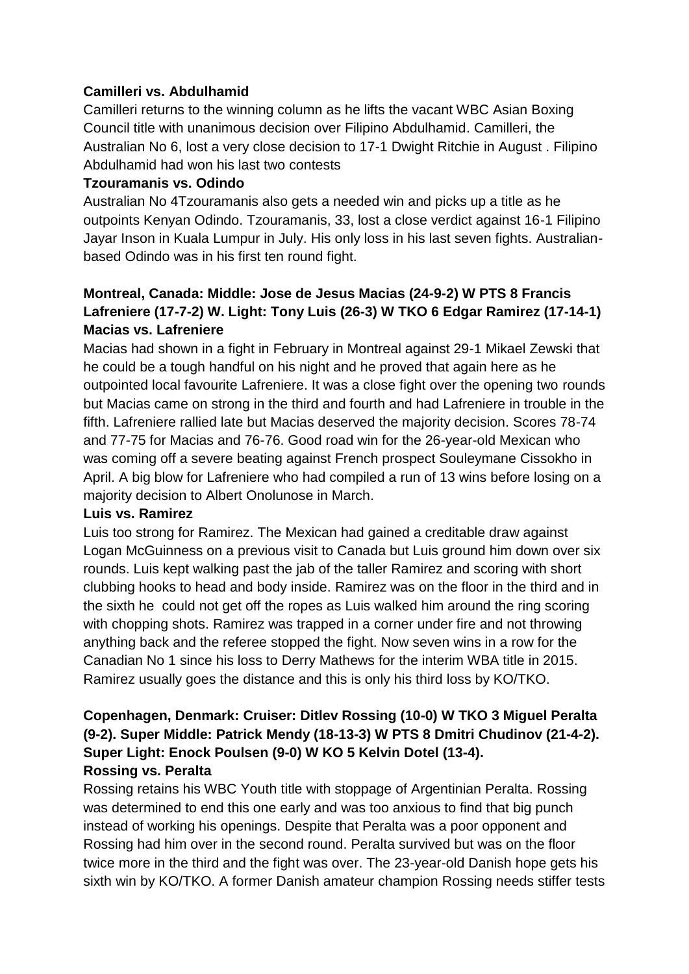### **Camilleri vs. Abdulhamid**

Camilleri returns to the winning column as he lifts the vacant WBC Asian Boxing Council title with unanimous decision over Filipino Abdulhamid. Camilleri, the Australian No 6, lost a very close decision to 17-1 Dwight Ritchie in August . Filipino Abdulhamid had won his last two contests

### **Tzouramanis vs. Odindo**

Australian No 4Tzouramanis also gets a needed win and picks up a title as he outpoints Kenyan Odindo. Tzouramanis, 33, lost a close verdict against 16-1 Filipino Jayar Inson in Kuala Lumpur in July. His only loss in his last seven fights. Australianbased Odindo was in his first ten round fight.

## **Montreal, Canada: Middle: Jose de Jesus Macias (24-9-2) W PTS 8 Francis Lafreniere (17-7-2) W. Light: Tony Luis (26-3) W TKO 6 Edgar Ramirez (17-14-1) Macias vs. Lafreniere**

Macias had shown in a fight in February in Montreal against 29-1 Mikael Zewski that he could be a tough handful on his night and he proved that again here as he outpointed local favourite Lafreniere. It was a close fight over the opening two rounds but Macias came on strong in the third and fourth and had Lafreniere in trouble in the fifth. Lafreniere rallied late but Macias deserved the majority decision. Scores 78-74 and 77-75 for Macias and 76-76. Good road win for the 26-year-old Mexican who was coming off a severe beating against French prospect Souleymane Cissokho in April. A big blow for Lafreniere who had compiled a run of 13 wins before losing on a majority decision to Albert Onolunose in March.

#### **Luis vs. Ramirez**

Luis too strong for Ramirez. The Mexican had gained a creditable draw against Logan McGuinness on a previous visit to Canada but Luis ground him down over six rounds. Luis kept walking past the jab of the taller Ramirez and scoring with short clubbing hooks to head and body inside. Ramirez was on the floor in the third and in the sixth he could not get off the ropes as Luis walked him around the ring scoring with chopping shots. Ramirez was trapped in a corner under fire and not throwing anything back and the referee stopped the fight. Now seven wins in a row for the Canadian No 1 since his loss to Derry Mathews for the interim WBA title in 2015. Ramirez usually goes the distance and this is only his third loss by KO/TKO.

## **Copenhagen, Denmark: Cruiser: Ditlev Rossing (10-0) W TKO 3 Miguel Peralta (9-2). Super Middle: Patrick Mendy (18-13-3) W PTS 8 Dmitri Chudinov (21-4-2). Super Light: Enock Poulsen (9-0) W KO 5 Kelvin Dotel (13-4). Rossing vs. Peralta**

Rossing retains his WBC Youth title with stoppage of Argentinian Peralta. Rossing was determined to end this one early and was too anxious to find that big punch instead of working his openings. Despite that Peralta was a poor opponent and Rossing had him over in the second round. Peralta survived but was on the floor twice more in the third and the fight was over. The 23-year-old Danish hope gets his sixth win by KO/TKO. A former Danish amateur champion Rossing needs stiffer tests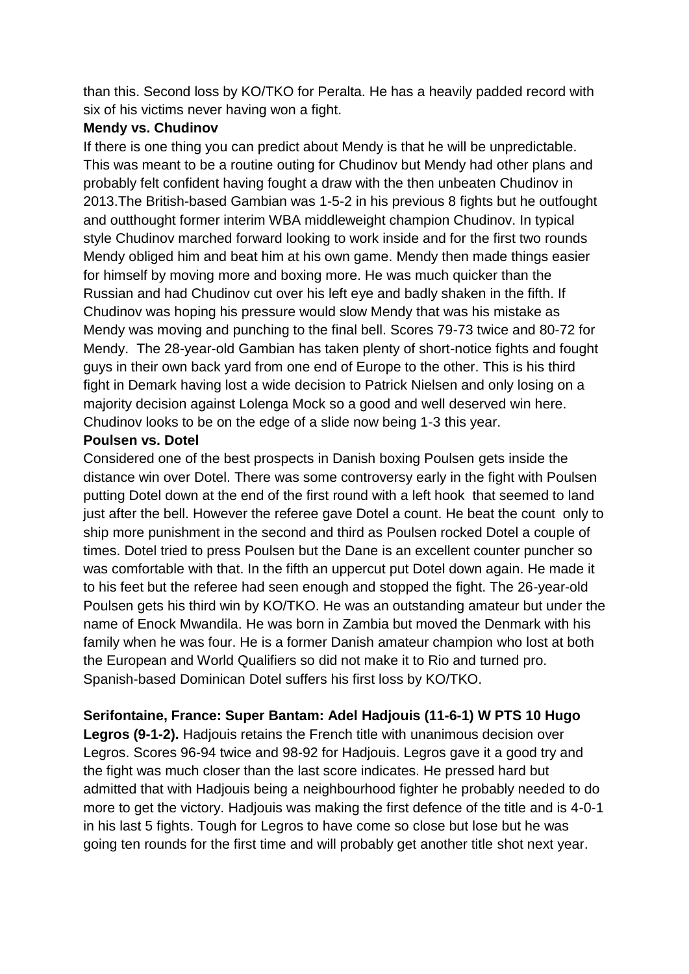than this. Second loss by KO/TKO for Peralta. He has a heavily padded record with six of his victims never having won a fight.

#### **Mendy vs. Chudinov**

If there is one thing you can predict about Mendy is that he will be unpredictable. This was meant to be a routine outing for Chudinov but Mendy had other plans and probably felt confident having fought a draw with the then unbeaten Chudinov in 2013.The British-based Gambian was 1-5-2 in his previous 8 fights but he outfought and outthought former interim WBA middleweight champion Chudinov. In typical style Chudinov marched forward looking to work inside and for the first two rounds Mendy obliged him and beat him at his own game. Mendy then made things easier for himself by moving more and boxing more. He was much quicker than the Russian and had Chudinov cut over his left eye and badly shaken in the fifth. If Chudinov was hoping his pressure would slow Mendy that was his mistake as Mendy was moving and punching to the final bell. Scores 79-73 twice and 80-72 for Mendy. The 28-year-old Gambian has taken plenty of short-notice fights and fought guys in their own back yard from one end of Europe to the other. This is his third fight in Demark having lost a wide decision to Patrick Nielsen and only losing on a majority decision against Lolenga Mock so a good and well deserved win here. Chudinov looks to be on the edge of a slide now being 1-3 this year.

#### **Poulsen vs. Dotel**

Considered one of the best prospects in Danish boxing Poulsen gets inside the distance win over Dotel. There was some controversy early in the fight with Poulsen putting Dotel down at the end of the first round with a left hook that seemed to land just after the bell. However the referee gave Dotel a count. He beat the count only to ship more punishment in the second and third as Poulsen rocked Dotel a couple of times. Dotel tried to press Poulsen but the Dane is an excellent counter puncher so was comfortable with that. In the fifth an uppercut put Dotel down again. He made it to his feet but the referee had seen enough and stopped the fight. The 26-year-old Poulsen gets his third win by KO/TKO. He was an outstanding amateur but under the name of Enock Mwandila. He was born in Zambia but moved the Denmark with his family when he was four. He is a former Danish amateur champion who lost at both the European and World Qualifiers so did not make it to Rio and turned pro. Spanish-based Dominican Dotel suffers his first loss by KO/TKO.

**Serifontaine, France: Super Bantam: Adel Hadjouis (11-6-1) W PTS 10 Hugo** 

**Legros (9-1-2).** Hadjouis retains the French title with unanimous decision over Legros. Scores 96-94 twice and 98-92 for Hadjouis. Legros gave it a good try and the fight was much closer than the last score indicates. He pressed hard but admitted that with Hadjouis being a neighbourhood fighter he probably needed to do more to get the victory. Hadjouis was making the first defence of the title and is 4-0-1 in his last 5 fights. Tough for Legros to have come so close but lose but he was going ten rounds for the first time and will probably get another title shot next year.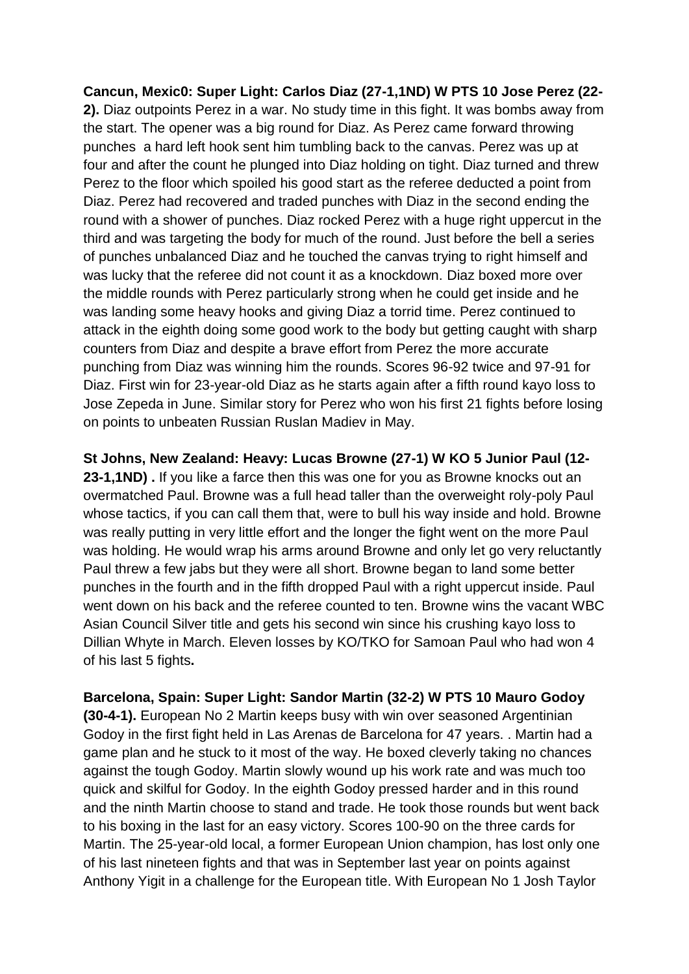**Cancun, Mexic0: Super Light: Carlos Diaz (27-1,1ND) W PTS 10 Jose Perez (22- 2).** Diaz outpoints Perez in a war. No study time in this fight. It was bombs away from the start. The opener was a big round for Diaz. As Perez came forward throwing punches a hard left hook sent him tumbling back to the canvas. Perez was up at four and after the count he plunged into Diaz holding on tight. Diaz turned and threw Perez to the floor which spoiled his good start as the referee deducted a point from Diaz. Perez had recovered and traded punches with Diaz in the second ending the round with a shower of punches. Diaz rocked Perez with a huge right uppercut in the third and was targeting the body for much of the round. Just before the bell a series of punches unbalanced Diaz and he touched the canvas trying to right himself and was lucky that the referee did not count it as a knockdown. Diaz boxed more over the middle rounds with Perez particularly strong when he could get inside and he was landing some heavy hooks and giving Diaz a torrid time. Perez continued to attack in the eighth doing some good work to the body but getting caught with sharp counters from Diaz and despite a brave effort from Perez the more accurate punching from Diaz was winning him the rounds. Scores 96-92 twice and 97-91 for Diaz. First win for 23-year-old Diaz as he starts again after a fifth round kayo loss to Jose Zepeda in June. Similar story for Perez who won his first 21 fights before losing on points to unbeaten Russian Ruslan Madiev in May.

**St Johns, New Zealand: Heavy: Lucas Browne (27-1) W KO 5 Junior Paul (12- 23-1,1ND) .** If you like a farce then this was one for you as Browne knocks out an overmatched Paul. Browne was a full head taller than the overweight roly-poly Paul whose tactics, if you can call them that, were to bull his way inside and hold. Browne was really putting in very little effort and the longer the fight went on the more Paul was holding. He would wrap his arms around Browne and only let go very reluctantly Paul threw a few jabs but they were all short. Browne began to land some better punches in the fourth and in the fifth dropped Paul with a right uppercut inside. Paul went down on his back and the referee counted to ten. Browne wins the vacant WBC Asian Council Silver title and gets his second win since his crushing kayo loss to Dillian Whyte in March. Eleven losses by KO/TKO for Samoan Paul who had won 4 of his last 5 fights**.**

**Barcelona, Spain: Super Light: Sandor Martin (32-2) W PTS 10 Mauro Godoy (30-4-1).** European No 2 Martin keeps busy with win over seasoned Argentinian Godoy in the first fight held in Las Arenas de Barcelona for 47 years. . Martin had a game plan and he stuck to it most of the way. He boxed cleverly taking no chances against the tough Godoy. Martin slowly wound up his work rate and was much too quick and skilful for Godoy. In the eighth Godoy pressed harder and in this round and the ninth Martin choose to stand and trade. He took those rounds but went back to his boxing in the last for an easy victory. Scores 100-90 on the three cards for Martin. The 25-year-old local, a former European Union champion, has lost only one of his last nineteen fights and that was in September last year on points against Anthony Yigit in a challenge for the European title. With European No 1 Josh Taylor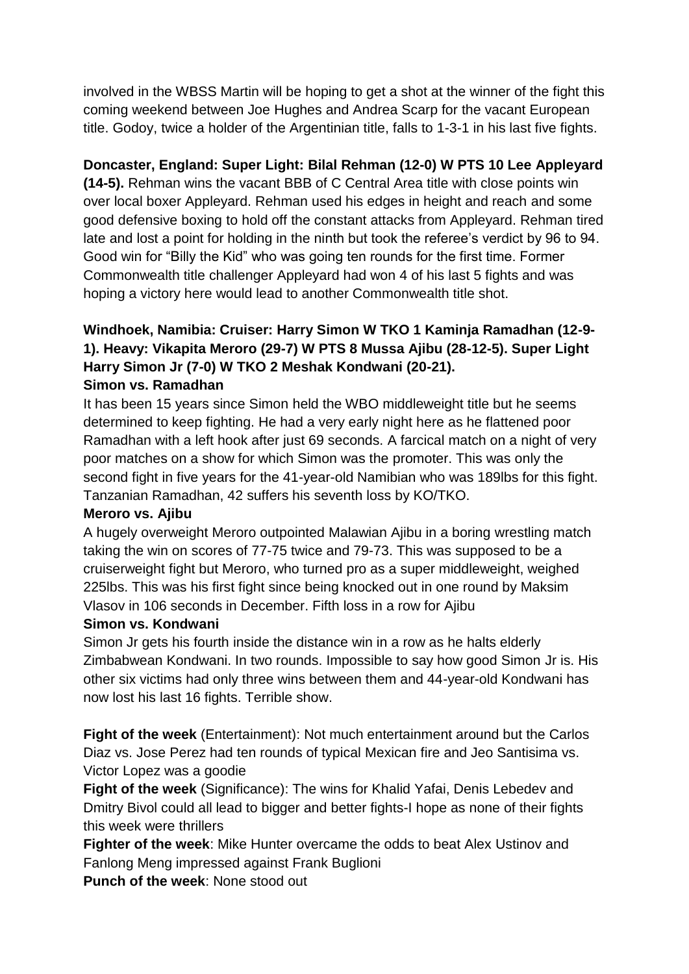involved in the WBSS Martin will be hoping to get a shot at the winner of the fight this coming weekend between Joe Hughes and Andrea Scarp for the vacant European title. Godoy, twice a holder of the Argentinian title, falls to 1-3-1 in his last five fights.

### **Doncaster, England: Super Light: Bilal Rehman (12-0) W PTS 10 Lee Appleyard**

**(14-5).** Rehman wins the vacant BBB of C Central Area title with close points win over local boxer Appleyard. Rehman used his edges in height and reach and some good defensive boxing to hold off the constant attacks from Appleyard. Rehman tired late and lost a point for holding in the ninth but took the referee's verdict by 96 to 94. Good win for "Billy the Kid" who was going ten rounds for the first time. Former Commonwealth title challenger Appleyard had won 4 of his last 5 fights and was hoping a victory here would lead to another Commonwealth title shot.

# **Windhoek, Namibia: Cruiser: Harry Simon W TKO 1 Kaminja Ramadhan (12-9- 1). Heavy: Vikapita Meroro (29-7) W PTS 8 Mussa Ajibu (28-12-5). Super Light Harry Simon Jr (7-0) W TKO 2 Meshak Kondwani (20-21).**

#### **Simon vs. Ramadhan**

It has been 15 years since Simon held the WBO middleweight title but he seems determined to keep fighting. He had a very early night here as he flattened poor Ramadhan with a left hook after just 69 seconds. A farcical match on a night of very poor matches on a show for which Simon was the promoter. This was only the second fight in five years for the 41-year-old Namibian who was 189lbs for this fight. Tanzanian Ramadhan, 42 suffers his seventh loss by KO/TKO.

#### **Meroro vs. Ajibu**

A hugely overweight Meroro outpointed Malawian Ajibu in a boring wrestling match taking the win on scores of 77-75 twice and 79-73. This was supposed to be a cruiserweight fight but Meroro, who turned pro as a super middleweight, weighed 225lbs. This was his first fight since being knocked out in one round by Maksim Vlasov in 106 seconds in December. Fifth loss in a row for Ajibu

#### **Simon vs. Kondwani**

Simon Jr gets his fourth inside the distance win in a row as he halts elderly Zimbabwean Kondwani. In two rounds. Impossible to say how good Simon Jr is. His other six victims had only three wins between them and 44-year-old Kondwani has now lost his last 16 fights. Terrible show.

**Fight of the week** (Entertainment): Not much entertainment around but the Carlos Diaz vs. Jose Perez had ten rounds of typical Mexican fire and Jeo Santisima vs. Victor Lopez was a goodie

**Fight of the week** (Significance): The wins for Khalid Yafai, Denis Lebedev and Dmitry Bivol could all lead to bigger and better fights-I hope as none of their fights this week were thrillers

**Fighter of the week**: Mike Hunter overcame the odds to beat Alex Ustinov and Fanlong Meng impressed against Frank Buglioni

**Punch of the week**: None stood out